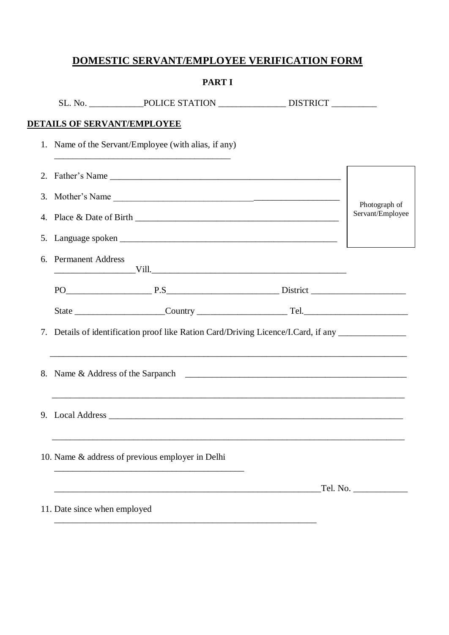# DOMESTIC SERVANT/EMPLOYEE VERIFICATION FORM

|    |                              | <b>PART I</b>                                                                                                                                                                                                                 |  |                  |  |
|----|------------------------------|-------------------------------------------------------------------------------------------------------------------------------------------------------------------------------------------------------------------------------|--|------------------|--|
|    |                              |                                                                                                                                                                                                                               |  |                  |  |
|    |                              | <b>DETAILS OF SERVANT/EMPLOYEE</b>                                                                                                                                                                                            |  |                  |  |
|    |                              | 1. Name of the Servant/Employee (with alias, if any)                                                                                                                                                                          |  |                  |  |
|    |                              |                                                                                                                                                                                                                               |  |                  |  |
|    |                              |                                                                                                                                                                                                                               |  | Photograph of    |  |
|    |                              |                                                                                                                                                                                                                               |  | Servant/Employee |  |
|    |                              |                                                                                                                                                                                                                               |  |                  |  |
| 6. | <b>Permanent Address</b>     |                                                                                                                                                                                                                               |  |                  |  |
|    |                              |                                                                                                                                                                                                                               |  |                  |  |
|    |                              |                                                                                                                                                                                                                               |  |                  |  |
|    |                              | 7. Details of identification proof like Ration Card/Driving Licence/I.Card, if any ________________                                                                                                                           |  |                  |  |
|    |                              |                                                                                                                                                                                                                               |  |                  |  |
|    |                              |                                                                                                                                                                                                                               |  |                  |  |
|    |                              | 10. Name & address of previous employer in Delhi                                                                                                                                                                              |  |                  |  |
|    |                              | the control of the control of the control of the control of the control of the control of the control of the control of the control of the control of the control of the control of the control of the control of the control |  |                  |  |
|    | 11. Date since when employed |                                                                                                                                                                                                                               |  |                  |  |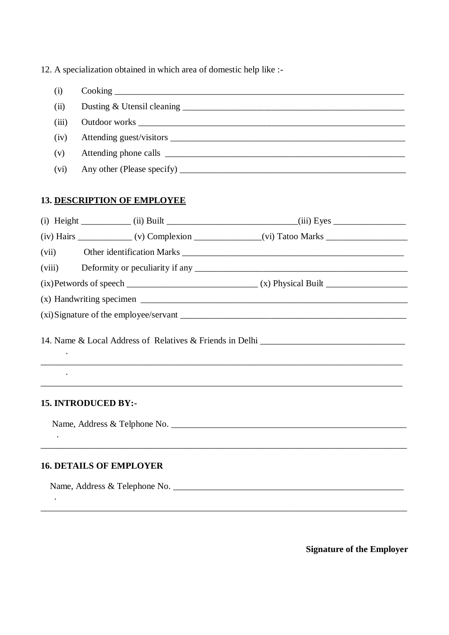12. A specialization obtained in which area of domestic help like :-

| (i)   |  |
|-------|--|
| (ii)  |  |
| (iii) |  |
| (iv)  |  |
| (v)   |  |
| (vi)  |  |

## **13. DESCRIPTION OF EMPLOYEE**

|                                | (iv) Hairs ________________(v) Complexion ________________(vi) Tatoo Marks _________________________ |  |
|--------------------------------|------------------------------------------------------------------------------------------------------|--|
| (vii)                          |                                                                                                      |  |
|                                |                                                                                                      |  |
|                                |                                                                                                      |  |
|                                |                                                                                                      |  |
|                                |                                                                                                      |  |
|                                |                                                                                                      |  |
| <b>15. INTRODUCED BY:-</b>     |                                                                                                      |  |
|                                |                                                                                                      |  |
|                                |                                                                                                      |  |
| <b>16. DETAILS OF EMPLOYER</b> |                                                                                                      |  |
|                                |                                                                                                      |  |
|                                |                                                                                                      |  |

**Signature of the Employer**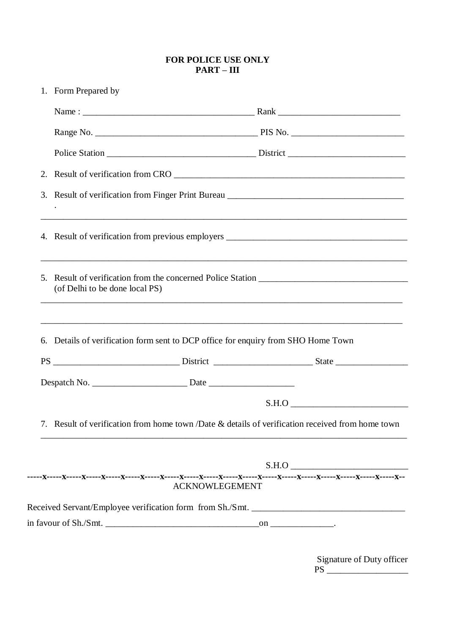#### **FOR POLICE USE ONLY PART – III**

| 1. Form Prepared by            |                                                                                   |                                                                                                  |
|--------------------------------|-----------------------------------------------------------------------------------|--------------------------------------------------------------------------------------------------|
|                                |                                                                                   |                                                                                                  |
|                                |                                                                                   |                                                                                                  |
|                                |                                                                                   |                                                                                                  |
|                                |                                                                                   |                                                                                                  |
|                                |                                                                                   | 3. Result of verification from Finger Print Bureau ______________________________                |
|                                |                                                                                   | 4. Result of verification from previous employers ______________________________                 |
| (of Delhi to be done local PS) |                                                                                   |                                                                                                  |
|                                |                                                                                   |                                                                                                  |
|                                | 6. Details of verification form sent to DCP office for enquiry from SHO Home Town |                                                                                                  |
|                                |                                                                                   |                                                                                                  |
|                                |                                                                                   |                                                                                                  |
|                                |                                                                                   |                                                                                                  |
|                                |                                                                                   |                                                                                                  |
|                                | <b>ACKNOWLEGEMENT</b>                                                             |                                                                                                  |
|                                |                                                                                   | 7. Result of verification from home town /Date & details of verification received from home town |

Signature of Duty officer PS \_\_\_\_\_\_\_\_\_\_\_\_\_\_\_\_\_\_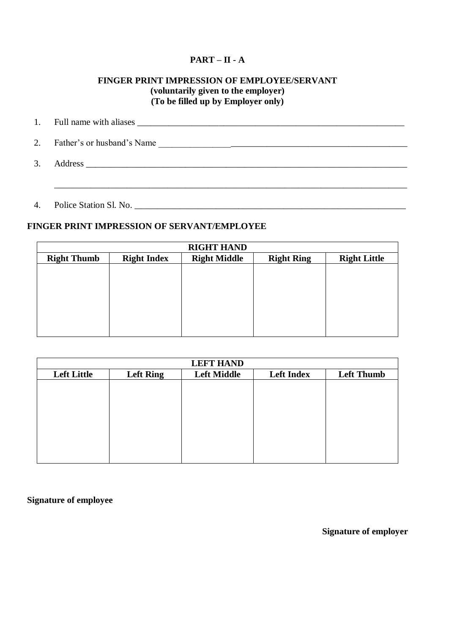#### **PART – II - A**

#### **FINGER PRINT IMPRESSION OF EMPLOYEE/SERVANT (voluntarily given to the employer) (To be filled up by Employer only)**

| $\mathbf{1}$ . |                            |
|----------------|----------------------------|
| 2.             | Father's or husband's Name |
| 3.             | Address                    |

4. Police Station Sl. No. \_\_\_\_\_\_\_\_\_\_\_\_\_\_\_\_\_\_\_\_\_\_\_\_\_\_\_\_\_\_\_\_\_\_\_\_\_\_\_\_\_\_\_\_\_\_\_\_\_\_\_\_\_\_\_\_\_\_\_\_

#### **FINGER PRINT IMPRESSION OF SERVANT/EMPLOYEE**

| <b>RIGHT HAND</b>  |                    |                     |                   |                     |  |
|--------------------|--------------------|---------------------|-------------------|---------------------|--|
| <b>Right Thumb</b> | <b>Right Index</b> | <b>Right Middle</b> | <b>Right Ring</b> | <b>Right Little</b> |  |
|                    |                    |                     |                   |                     |  |
|                    |                    |                     |                   |                     |  |
|                    |                    |                     |                   |                     |  |
|                    |                    |                     |                   |                     |  |
|                    |                    |                     |                   |                     |  |
|                    |                    |                     |                   |                     |  |
|                    |                    |                     |                   |                     |  |

| <b>LEFT HAND</b>   |                  |                    |                   |                   |  |
|--------------------|------------------|--------------------|-------------------|-------------------|--|
| <b>Left Little</b> | <b>Left Ring</b> | <b>Left Middle</b> | <b>Left Index</b> | <b>Left Thumb</b> |  |
|                    |                  |                    |                   |                   |  |
|                    |                  |                    |                   |                   |  |
|                    |                  |                    |                   |                   |  |
|                    |                  |                    |                   |                   |  |
|                    |                  |                    |                   |                   |  |
|                    |                  |                    |                   |                   |  |
|                    |                  |                    |                   |                   |  |
|                    |                  |                    |                   |                   |  |

**Signature of employee**

**Signature of employer**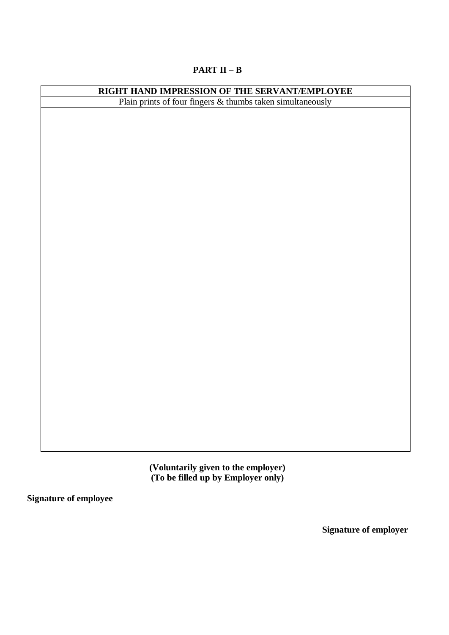### **PART II – B**

| <b>RIGHT HAND IMPRESSION OF THE SERVANT/EMPLOYEE</b><br>Plain prints of four fingers & thumbs taken simultaneously |  |  |  |
|--------------------------------------------------------------------------------------------------------------------|--|--|--|
|                                                                                                                    |  |  |  |
|                                                                                                                    |  |  |  |
|                                                                                                                    |  |  |  |
|                                                                                                                    |  |  |  |
|                                                                                                                    |  |  |  |
|                                                                                                                    |  |  |  |
|                                                                                                                    |  |  |  |
|                                                                                                                    |  |  |  |
|                                                                                                                    |  |  |  |
|                                                                                                                    |  |  |  |
|                                                                                                                    |  |  |  |
|                                                                                                                    |  |  |  |
|                                                                                                                    |  |  |  |
|                                                                                                                    |  |  |  |
|                                                                                                                    |  |  |  |
|                                                                                                                    |  |  |  |
|                                                                                                                    |  |  |  |
|                                                                                                                    |  |  |  |
|                                                                                                                    |  |  |  |
|                                                                                                                    |  |  |  |
|                                                                                                                    |  |  |  |
|                                                                                                                    |  |  |  |
|                                                                                                                    |  |  |  |
|                                                                                                                    |  |  |  |
|                                                                                                                    |  |  |  |
|                                                                                                                    |  |  |  |
|                                                                                                                    |  |  |  |
|                                                                                                                    |  |  |  |
|                                                                                                                    |  |  |  |
|                                                                                                                    |  |  |  |
|                                                                                                                    |  |  |  |
|                                                                                                                    |  |  |  |

**(Voluntarily given to the employer) (To be filled up by Employer only)**

**Signature of employee**

**Signature of employer**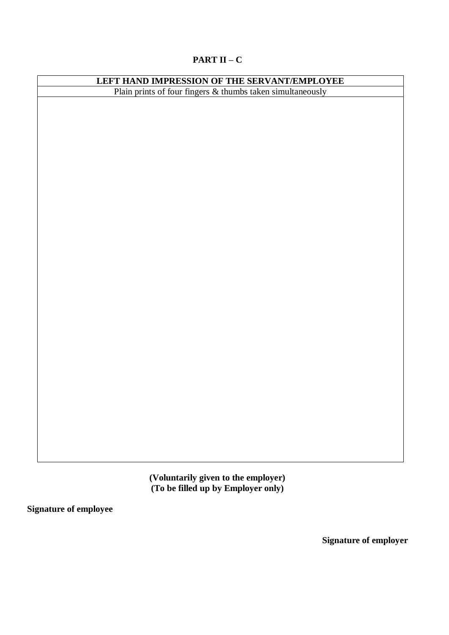#### **PART II – C**

### **LEFT HAND IMPRESSION OF THE SERVANT/EMPLOYEE** Plain prints of four fingers & thumbs taken simultaneously

**(Voluntarily given to the employer) (To be filled up by Employer only)**

**Signature of employee**

**Signature of employer**